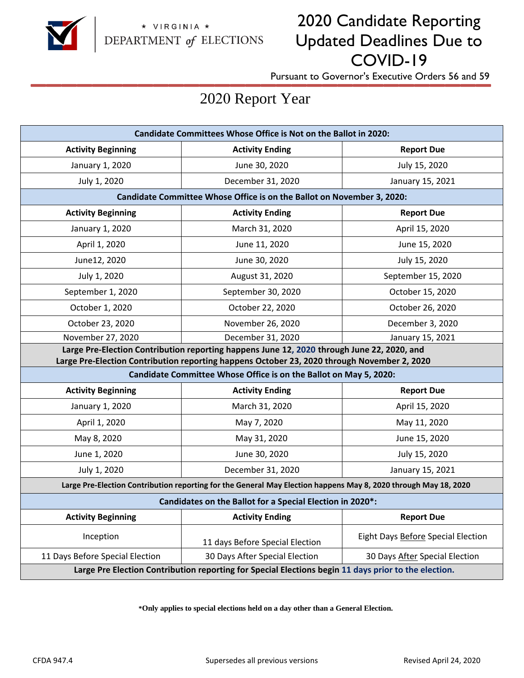

# 2020 Candidate Reporting Updated Deadlines Due to COVID-19

**\_\_\_\_\_\_\_\_\_\_\_\_\_\_\_\_\_\_\_\_\_\_\_\_\_\_\_\_\_\_** Pursuant to Governor's Executive Orders 56 and 59

# 2020 Report Year

| <b>Candidate Committees Whose Office is Not on the Ballot in 2020:</b>                                                                                                                    |                                 |                                    |
|-------------------------------------------------------------------------------------------------------------------------------------------------------------------------------------------|---------------------------------|------------------------------------|
| <b>Activity Beginning</b>                                                                                                                                                                 | <b>Activity Ending</b>          | <b>Report Due</b>                  |
| January 1, 2020                                                                                                                                                                           | June 30, 2020                   | July 15, 2020                      |
| July 1, 2020                                                                                                                                                                              | December 31, 2020               | January 15, 2021                   |
| Candidate Committee Whose Office is on the Ballot on November 3, 2020:                                                                                                                    |                                 |                                    |
| <b>Activity Beginning</b>                                                                                                                                                                 | <b>Activity Ending</b>          | <b>Report Due</b>                  |
| January 1, 2020                                                                                                                                                                           | March 31, 2020                  | April 15, 2020                     |
| April 1, 2020                                                                                                                                                                             | June 11, 2020                   | June 15, 2020                      |
| June12, 2020                                                                                                                                                                              | June 30, 2020                   | July 15, 2020                      |
| July 1, 2020                                                                                                                                                                              | August 31, 2020                 | September 15, 2020                 |
| September 1, 2020                                                                                                                                                                         | September 30, 2020              | October 15, 2020                   |
| October 1, 2020                                                                                                                                                                           | October 22, 2020                | October 26, 2020                   |
| October 23, 2020                                                                                                                                                                          | November 26, 2020               | December 3, 2020                   |
| November 27, 2020                                                                                                                                                                         | December 31, 2020               | January 15, 2021                   |
| Large Pre-Election Contribution reporting happens June 12, 2020 through June 22, 2020, and<br>Large Pre-Election Contribution reporting happens October 23, 2020 through November 2, 2020 |                                 |                                    |
| Candidate Committee Whose Office is on the Ballot on May 5, 2020:                                                                                                                         |                                 |                                    |
| <b>Activity Beginning</b>                                                                                                                                                                 | <b>Activity Ending</b>          | <b>Report Due</b>                  |
| January 1, 2020                                                                                                                                                                           | March 31, 2020                  | April 15, 2020                     |
| April 1, 2020                                                                                                                                                                             | May 7, 2020                     | May 11, 2020                       |
| May 8, 2020                                                                                                                                                                               | May 31, 2020                    | June 15, 2020                      |
| June 1, 2020                                                                                                                                                                              | June 30, 2020                   | July 15, 2020                      |
| July 1, 2020                                                                                                                                                                              | December 31, 2020               | January 15, 2021                   |
| Large Pre-Election Contribution reporting for the General May Election happens May 8, 2020 through May 18, 2020                                                                           |                                 |                                    |
| Candidates on the Ballot for a Special Election in 2020*:                                                                                                                                 |                                 |                                    |
| <b>Activity Beginning</b>                                                                                                                                                                 | <b>Activity Ending</b>          | <b>Report Due</b>                  |
| Inception                                                                                                                                                                                 | 11 days Before Special Election | Eight Days Before Special Election |
| 11 Days Before Special Election                                                                                                                                                           | 30 Days After Special Election  | 30 Days After Special Election     |
| Large Pre Election Contribution reporting for Special Elections begin 11 days prior to the election.                                                                                      |                                 |                                    |

**\*Only applies to special elections held on a day other than a General Election.**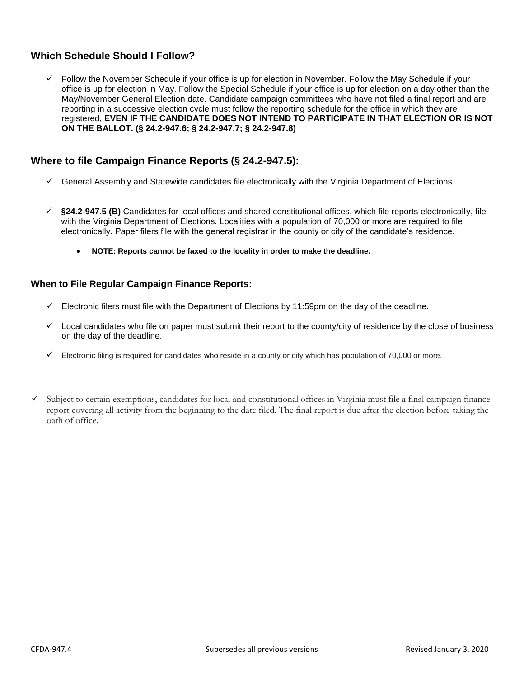# **Which Schedule Should I Follow?**

 Follow the November Schedule if your office is up for election in November. Follow the May Schedule if your office is up for election in May. Follow the Special Schedule if your office is up for election on a day other than the May/November General Election date. Candidate campaign committees who have not filed a final report and are reporting in a successive election cycle must follow the reporting schedule for the office in which they are registered, **EVEN IF THE CANDIDATE DOES NOT INTEND TO PARTICIPATE IN THAT ELECTION OR IS NOT ON THE BALLOT. (§ 24.2-947.6; § 24.2-947.7; § 24.2-947.8)**

# **Where to file Campaign Finance Reports (§ 24.2-947.5):**

- $\checkmark$  General Assembly and Statewide candidates file electronically with the Virginia Department of Elections.
- **§24.2-947.5 (B)** Candidates for local offices and shared constitutional offices, which file reports electronically, file with the Virginia Department of Elections*.* Localities with a population of 70,000 or more are required to file electronically. Paper filers file with the general registrar in the county or city of the candidate's residence.
	- **NOTE: Reports cannot be faxed to the locality in order to make the deadline.**

## **When to File Regular Campaign Finance Reports:**

- $\checkmark$  Electronic filers must file with the Department of Elections by 11:59pm on the day of the deadline.
- $\checkmark$  Local candidates who file on paper must submit their report to the county/city of residence by the close of business on the day of the deadline.
- $\checkmark$  Electronic filing is required for candidates who reside in a county or city which has population of 70,000 or more.
- $\checkmark$  Subject to certain exemptions, candidates for local and constitutional offices in Virginia must file a final campaign finance report covering all activity from the beginning to the date filed. The final report is due after the election before taking the oath of office.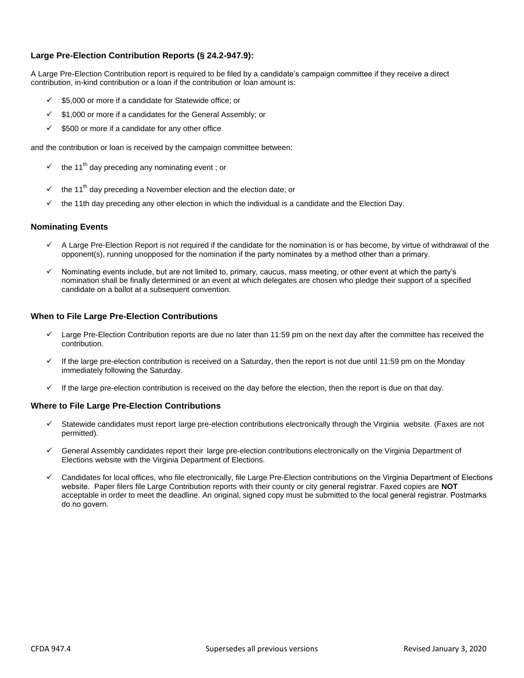#### **Large Pre-Election Contribution Reports (§ 24.2-947.9):**

A Large Pre-Election Contribution report is required to be filed by a candidate's campaign committee if they receive a direct contribution, in-kind contribution or a loan if the contribution or loan amount is:

- \$5,000 or more if a candidate for Statewide office; or
- $\checkmark$  \$1,000 or more if a candidates for the General Assembly; or
- $\checkmark$  \$500 or more if a candidate for any other office

and the contribution or loan is received by the campaign committee between:

- $\checkmark$  the 11<sup>th</sup> day preceding any nominating event ; or
- the 11<sup>th</sup> day preceding a November election and the election date; or
- the 11th day preceding any other election in which the individual is a candidate and the Election Day.

#### **Nominating Events**

- A Large Pre-Election Report is not required if the candidate for the nomination is or has become, by virtue of withdrawal of the opponent(s), running unopposed for the nomination if the party nominates by a method other than a primary.
- Nominating events include, but are not limited to, primary, caucus, mass meeting, or other event at which the party's nomination shall be finally determined or an event at which delegates are chosen who pledge their support of a specified candidate on a ballot at a subsequent convention.

#### **When to File Large Pre-Election Contributions**

- Large Pre-Election Contribution reports are due no later than 11:59 pm on the next day after the committee has received the contribution.
- If the large pre-election contribution is received on a Saturday, then the report is not due until 11:59 pm on the Monday immediately following the Saturday.
- $\checkmark$  If the large pre-election contribution is received on the day before the election, then the report is due on that day.

#### **Where to File Large Pre-Election Contributions**

- Statewide candidates must report large pre-election contributions electronically through the Virginia website. (Faxes are not permitted).
- General Assembly candidates report their large pre-election contributions electronically on the Virginia Department of Elections website with the Virginia Department of Elections.
- Candidates for local offices, who file electronically, file Large Pre-Election contributions on the Virginia Department of Elections website. Paper filers file Large Contribution reports with their county or city general registrar. Faxed copies are **NOT** acceptable in order to meet the deadline. An original, signed copy must be submitted to the local general registrar. Postmarks do no govern.